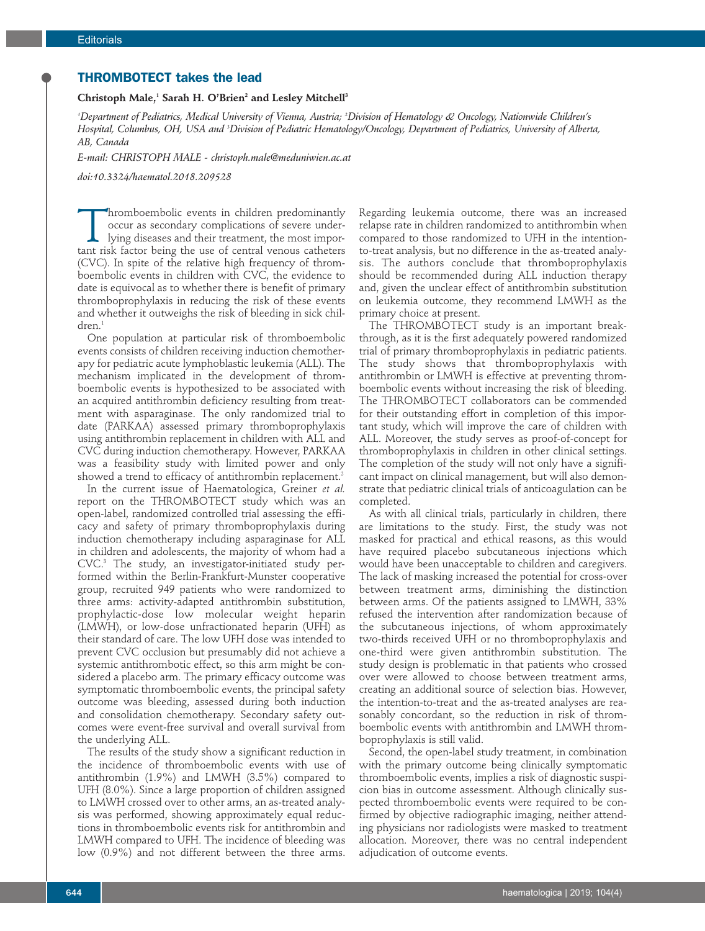## **THROMBOTECT takes the lead**

## **Christoph Male,1 Sarah H. O'Brien2 and Lesley Mitchell3**

*1 Department of Pediatrics, Medical University of Vienna, Austria; 2 Division of Hematology & Oncology, Nationwide Children's Hospital, Columbus, OH, USA and 3 Division of Pediatric Hematology/Oncology, Department of Pediatrics, University of Alberta, AB, Canada*

*E-mail: CHRISTOPH MALE - christoph.male@meduniwien.ac.at*

*doi:10.3324/haematol.2018.209528*

Thromboembolic events in children predominantly<br>occur as secondary complications of severe under-<br>lying diseases and their treatment, the most impor-<br>tant risk factor being the use of central venous catheters occur as secondary complications of severe underlying diseases and their treatment, the most important risk factor being the use of central venous catheters (CVC). In spite of the relative high frequency of thromboembolic events in children with CVC, the evidence to date is equivocal as to whether there is benefit of primary thromboprophylaxis in reducing the risk of these events and whether it outweighs the risk of bleeding in sick children.<sup>1</sup>

One population at particular risk of thromboembolic events consists of children receiving induction chemotherapy for pediatric acute lymphoblastic leukemia (ALL). The mechanism implicated in the development of thromboembolic events is hypothesized to be associated with an acquired antithrombin deficiency resulting from treatment with asparaginase. The only randomized trial to date (PARKAA) assessed primary thromboprophylaxis using antithrombin replacement in children with ALL and CVC during induction chemotherapy. However, PARKAA was a feasibility study with limited power and only showed a trend to efficacy of antithrombin replacement.<sup>2</sup>

In the current issue of Haematologica, Greiner *et al.* report on the THROMBOTECT study which was an open-label, randomized controlled trial assessing the efficacy and safety of primary thromboprophylaxis during induction chemotherapy including asparaginase for ALL in children and adolescents, the majority of whom had a CVC.3 The study, an investigator-initiated study performed within the Berlin-Frankfurt-Munster cooperative group, recruited 949 patients who were randomized to three arms: activity-adapted antithrombin substitution, prophylactic-dose low molecular weight heparin (LMWH), or low-dose unfractionated heparin (UFH) as their standard of care. The low UFH dose was intended to prevent CVC occlusion but presumably did not achieve a systemic antithrombotic effect, so this arm might be considered a placebo arm. The primary efficacy outcome was symptomatic thromboembolic events, the principal safety outcome was bleeding, assessed during both induction and consolidation chemotherapy. Secondary safety outcomes were event-free survival and overall survival from the underlying ALL.

The results of the study show a significant reduction in the incidence of thromboembolic events with use of antithrombin (1.9%) and LMWH (3.5%) compared to UFH (8.0%). Since a large proportion of children assigned to LMWH crossed over to other arms, an as-treated analysis was performed, showing approximately equal reductions in thromboembolic events risk for antithrombin and LMWH compared to UFH. The incidence of bleeding was low (0.9%) and not different between the three arms.

Regarding leukemia outcome, there was an increased relapse rate in children randomized to antithrombin when compared to those randomized to UFH in the intentionto-treat analysis, but no difference in the as-treated analysis. The authors conclude that thromboprophylaxis should be recommended during ALL induction therapy and, given the unclear effect of antithrombin substitution on leukemia outcome, they recommend LMWH as the primary choice at present.

The THROMBOTECT study is an important breakthrough, as it is the first adequately powered randomized trial of primary thromboprophylaxis in pediatric patients. The study shows that thromboprophylaxis with antithrombin or LMWH is effective at preventing thromboembolic events without increasing the risk of bleeding. The THROMBOTECT collaborators can be commended for their outstanding effort in completion of this important study, which will improve the care of children with ALL. Moreover, the study serves as proof-of-concept for thromboprophylaxis in children in other clinical settings. The completion of the study will not only have a significant impact on clinical management, but will also demonstrate that pediatric clinical trials of anticoagulation can be completed.

As with all clinical trials, particularly in children, there are limitations to the study. First, the study was not masked for practical and ethical reasons, as this would have required placebo subcutaneous injections which would have been unacceptable to children and caregivers. The lack of masking increased the potential for cross-over between treatment arms, diminishing the distinction between arms. Of the patients assigned to LMWH, 33% refused the intervention after randomization because of the subcutaneous injections, of whom approximately two-thirds received UFH or no thromboprophylaxis and one-third were given antithrombin substitution. The study design is problematic in that patients who crossed over were allowed to choose between treatment arms, creating an additional source of selection bias. However, the intention-to-treat and the as-treated analyses are reasonably concordant, so the reduction in risk of thromboembolic events with antithrombin and LMWH thromboprophylaxis is still valid.

Second, the open-label study treatment, in combination with the primary outcome being clinically symptomatic thromboembolic events, implies a risk of diagnostic suspicion bias in outcome assessment. Although clinically suspected thromboembolic events were required to be confirmed by objective radiographic imaging, neither attending physicians nor radiologists were masked to treatment allocation. Moreover, there was no central independent adjudication of outcome events.